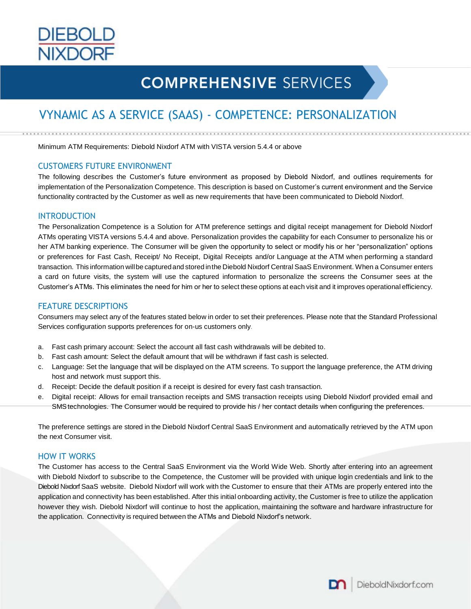

# **COMPREHENSIVE SERVICES**

# VYNAMIC AS A SERVICE (SAAS) - COMPETENCE: PERSONALIZATION

Minimum ATM Requirements: Diebold Nixdorf ATM with VISTA version 5.4.4 or above

#### CUSTOMERS FUTURE ENVIRONMENT

The following describes the Customer's future environment as proposed by Diebold Nixdorf, and outlines requirements for implementation of the Personalization Competence. This description is based on Customer's current environment and the Service functionality contracted by the Customer as well as new requirements that have been communicated to Diebold Nixdorf.

#### INTRODUCTION

The Personalization Competence is a Solution for ATM preference settings and digital receipt management for Diebold Nixdorf ATMs operating VISTA versions 5.4.4 and above. Personalization provides the capability for each Consumer to personalize his or her ATM banking experience. The Consumer will be given the opportunity to select or modify his or her "personalization" options or preferences for Fast Cash, Receipt/ No Receipt, Digital Receipts and/or Language at the ATM when performing a standard transaction. This information willbe captured and stored inthe Diebold Nixdorf Central SaaS Environment. When a Consumer enters a card on future visits, the system will use the captured information to personalize the screens the Consumer sees at the Customer's ATMs. This eliminates the need for him or her to select these options at each visit and it improves operational efficiency.

#### FEATURE DESCRIPTIONS

Consumers may select any of the features stated below in order to set their preferences. Please note that the Standard Professional Services configuration supports preferences for on-us customers only.

- a. Fast cash primary account: Select the account all fast cash withdrawals will be debited to.
- b. Fast cash amount: Select the default amount that will be withdrawn if fast cash is selected.
- c. Language: Set the language that will be displayed on the ATM screens. To support the language preference, the ATM driving host and network must support this.
- d. Receipt: Decide the default position if a receipt is desired for every fast cash transaction.
- e. Digital receipt: Allows for email transaction receipts and SMS transaction receipts using Diebold Nixdorf provided email and SMStechnologies. The Consumer would be required to provide his / her contact details when configuring the preferences.

The preference settings are stored in the Diebold Nixdorf Central SaaS Environment and automatically retrieved by the ATM upon the next Consumer visit.

# HOW IT WORKS

The Customer has access to the Central SaaS Environment via the World Wide Web. Shortly after entering into an agreement with Diebold Nixdorf to subscribe to the Competence, the Customer will be provided with unique login credentials and link to the Diebold Nixdorf SaaS website. Diebold Nixdorf will work with the Customer to ensure that their ATMs are properly entered into the application and connectivity has been established. After this initial onboarding activity, the Customer is free to utilize the application however they wish. Diebold Nixdorf will continue to host the application, maintaining the software and hardware infrastructure for the application. Connectivity is required between the ATMs and Diebold Nixdorf's network.

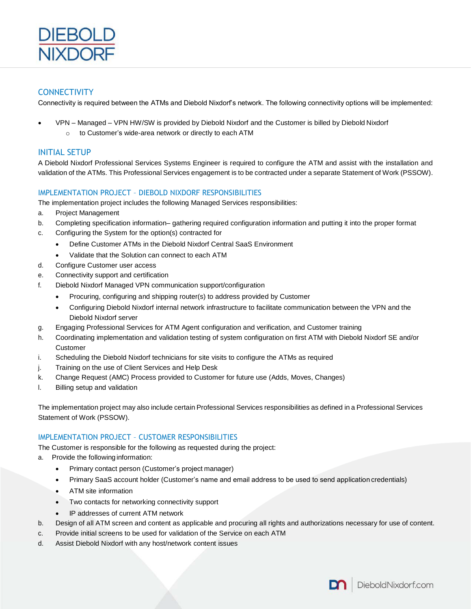

# **CONNECTIVITY**

Connectivity is required between the ATMs and Diebold Nixdorf's network. The following connectivity options will be implemented:

- VPN Managed VPN HW/SW is provided by Diebold Nixdorf and the Customer is billed by Diebold Nixdorf
	- o to Customer's wide-area network or directly to each ATM

# INITIAL SETUP

A Diebold Nixdorf Professional Services Systems Engineer is required to configure the ATM and assist with the installation and validation of the ATMs. This Professional Services engagement is to be contracted under a separate Statement of Work (PSSOW).

# IMPLEMENTATION PROJECT – DIEBOLD NIXDORF RESPONSIBILITIES

The implementation project includes the following Managed Services responsibilities:

- a. Project Management
- b. Completing specification information– gathering required configuration information and putting it into the proper format
- c. Configuring the System for the option(s) contracted for
	- Define Customer ATMs in the Diebold Nixdorf Central SaaS Environment
	- Validate that the Solution can connect to each ATM
- d. Configure Customer user access
- e. Connectivity support and certification
- f. Diebold Nixdorf Managed VPN communication support/configuration
	- Procuring, configuring and shipping router(s) to address provided by Customer
	- Configuring Diebold Nixdorf internal network infrastructure to facilitate communication between the VPN and the Diebold Nixdorf server
- g. Engaging Professional Services for ATM Agent configuration and verification, and Customer training
- h. Coordinating implementation and validation testing of system configuration on first ATM with Diebold Nixdorf SE and/or Customer
- i. Scheduling the Diebold Nixdorf technicians for site visits to configure the ATMs as required
- j. Training on the use of Client Services and Help Desk
- k. Change Request (AMC) Process provided to Customer for future use (Adds, Moves, Changes)
- l. Billing setup and validation

The implementation project may also include certain Professional Services responsibilities as defined in a Professional Services Statement of Work (PSSOW).

# IMPLEMENTATION PROJECT – CUSTOMER RESPONSIBILITIES

The Customer is responsible for the following as requested during the project:

- a. Provide the following information:
	- Primary contact person (Customer's project manager)
	- Primary SaaS account holder (Customer's name and email address to be used to send application credentials)
	- ATM site information
	- Two contacts for networking connectivity support
	- IP addresses of current ATM network
- b. Design of all ATM screen and content as applicable and procuring all rights and authorizations necessary for use of content.
- c. Provide initial screens to be used for validation of the Service on each ATM
- d. Assist Diebold Nixdorf with any host/network content issues

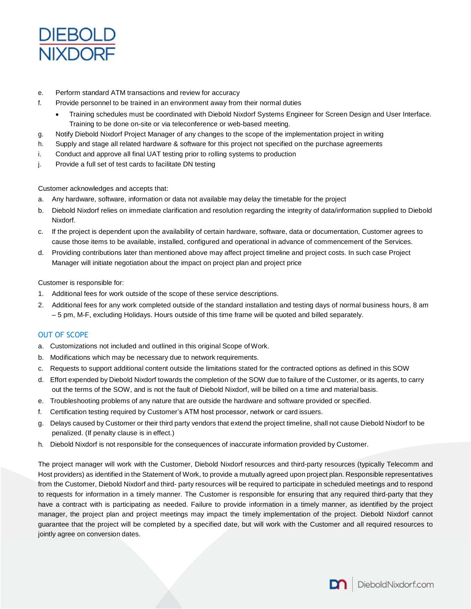

- e. Perform standard ATM transactions and review for accuracy
- f. Provide personnel to be trained in an environment away from their normal duties
	- Training schedules must be coordinated with Diebold Nixdorf Systems Engineer for Screen Design and User Interface. Training to be done on-site or via teleconference or web-based meeting.
- g. Notify Diebold Nixdorf Project Manager of any changes to the scope of the implementation project in writing
- h. Supply and stage all related hardware & software for this project not specified on the purchase agreements
- i. Conduct and approve all final UAT testing prior to rolling systems to production
- j. Provide a full set of test cards to facilitate DN testing

Customer acknowledges and accepts that:

- a. Any hardware, software, information or data not available may delay the timetable for the project
- b. Diebold Nixdorf relies on immediate clarification and resolution regarding the integrity of data/information supplied to Diebold Nixdorf.
- c. If the project is dependent upon the availability of certain hardware, software, data or documentation, Customer agrees to cause those items to be available, installed, configured and operational in advance of commencement of the Services.
- d. Providing contributions later than mentioned above may affect project timeline and project costs. In such case Project Manager will initiate negotiation about the impact on project plan and project price

Customer is responsible for:

- 1. Additional fees for work outside of the scope of these service descriptions.
- 2. Additional fees for any work completed outside of the standard installation and testing days of normal business hours, 8 am – 5 pm, M-F, excluding Holidays. Hours outside of this time frame will be quoted and billed separately.

# OUT OF SCOPE

- a. Customizations not included and outlined in this original Scope ofWork.
- b. Modifications which may be necessary due to network requirements.
- c. Requests to support additional content outside the limitations stated for the contracted options as defined in this SOW
- d. Effort expended by Diebold Nixdorf towards the completion of the SOW due to failure of the Customer, or its agents, to carry out the terms of the SOW, and is not the fault of Diebold Nixdorf, will be billed on a time and material basis.
- e. Troubleshooting problems of any nature that are outside the hardware and software provided or specified.
- f. Certification testing required by Customer's ATM host processor, network or card issuers.
- Delays caused by Customer or their third party vendors that extend the project timeline, shall not cause Diebold Nixdorf to be penalized. (If penalty clause is in effect.)
- h. Diebold Nixdorf is not responsible for the consequences of inaccurate information provided by Customer.

The project manager will work with the Customer, Diebold Nixdorf resources and third-party resources (typically Telecomm and Host providers) as identified in the Statement of Work, to provide a mutually agreed upon project plan. Responsible representatives from the Customer, Diebold Nixdorf and third- party resources will be required to participate in scheduled meetings and to respond to requests for information in a timely manner. The Customer is responsible for ensuring that any required third-party that they have a contract with is participating as needed. Failure to provide information in a timely manner, as identified by the project manager, the project plan and project meetings may impact the timely implementation of the project. Diebold Nixdorf cannot guarantee that the project will be completed by a specified date, but will work with the Customer and all required resources to jointly agree on conversion dates.